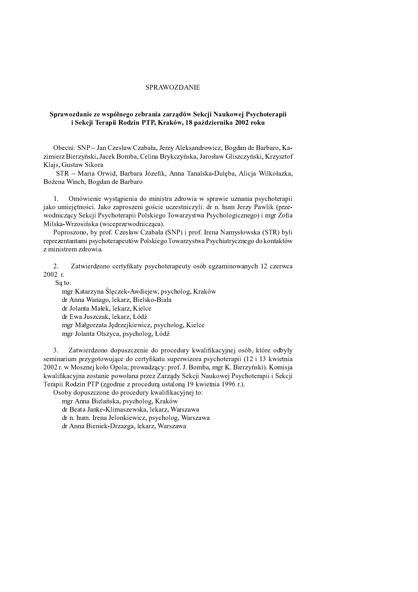## SPRAWOZDANIE

## Sprawozdanie ze wspólnego zebrania zarządów Sekcji Naukowej Psychoterapii i Sekcji Terapii Rodzin PTP, Kraków, 18 października 2002 roku

Obecni: SNP - Jan Czesław Czabała, Jerzy Aleksandrowicz, Bogdan de Barbaro, Kazimierz Bierzyński, Jacek Bomba, Celina Brykczyńska, Jarosław Gliszczyński, Krzysztof Klajs, Gustaw Sikora

STR - Maria Orwid, Barbara Józefik, Anna Tanalska-Dulęba, Alicja Wilkołazka, Bożena Winch, Bogdan de Barbaro

Omówienie wystąpienia do ministra zdrowia w sprawie uznania psychoterapii  $1<sup>1</sup>$ jako umiejetności. Jako zaproszeni goście uczestniczyli: dr n. hum Jerzy Pawlik (przewodniczący Sekcji Psychoterapii Polskiego Towarzystwa Psychologicznego) i mgr Zofia Milska-Wrzosińska (wiceprzewodnicząca).

Poproszono, by prof. Czesław Czabała (SNP) i prof. Irena Namysłowska (STR) byli reprezentantami psychoterapeutów Polskiego Towarzystwa Psychiatrycznego do kontaktów z ministrem zdrowia.

 $2.$ Zatwierdzono certyfikaty psychoterapeuty osób egzaminowanych 12 czerwca  $2002 r$ 

Są to:

mgr Katarzyna Ślęczek-Awdiejew, psycholog, Kraków dr Anna Wanago, lekarz, Bielsko-Biała dr Jolanta Małek, lekarz, Kielce dr Ewa Juszczak, lekarz, Łódź mgr Małgorzata Jędrzejkiewicz, psycholog, Kielce mgr Jolanta Olszyca, psycholog, Łódź

 $3.$ Zatwierdzono dopuszczenie do procedury kwalifikacyjnej osób, które odbyły seminarium przygotowujące do certyfikatu superwizora psychoterapii (12 i 13 kwietnia 2002 r. w Mosznej koło Opola; prowadzacy; prof. J. Bomba, mgr K. Bierzyński). Komisia kwalifikacyjna zostanie powołana przez Zarządy Sekcji Naukowej Psychoterapii i Sekcji Terapii Rodzin PTP (zgodnie z procedurą ustaloną 19 kwietnia 1996 r.).

Osoby dopuszczone do procedury kwalifikacyjnej to:

mgr Anna Bielańska, psycholog, Kraków

dr Beata Janke-Klimaszewska, lekarz, Warszawa

dr n. hum. Irena Jelonkiewicz, psycholog, Warszawa

dr Anna Bieniek-Drzazga, lekarz, Warszawa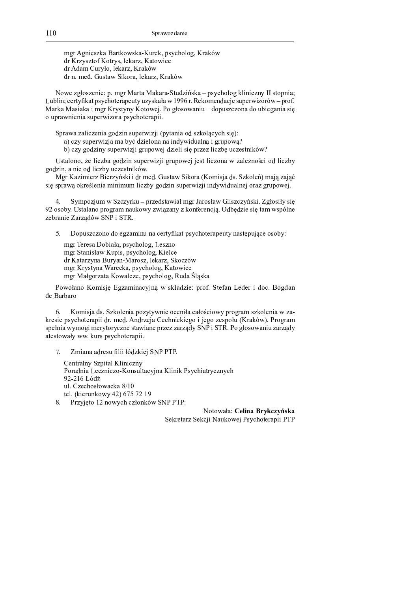mgr Agnieszka Bartkowska-Kurek, psycholog, Kraków dr Krzysztof Kotrys, lekarz, Katowice dr Adam Curyło, lekarz, Kraków dr n. med. Gustaw Sikora, lekarz, Kraków

Nowe zgłoszenie: p. mgr Marta Makara-Studzińska – psycholog kliniczny II stopnia; Lublin; certyfikat psychoterapeuty uzyskała w 1996 r. Rekomendacje superwizorów – prof. Marka Masiaka i mgr Krystyny Kotowej. Po głosowaniu - dopuszczona do ubiegania się o uprawnienia superwizora psychoterapii.

Sprawa zaliczenia godzin superwizji (pytania od szkolących się):

a) czy superwizja ma być dzielona na indywidualną i grupową?

b) czy godziny superwizji grupowej dzieli się przez liczbę uczestników?

Ustalono, że liczba godzin superwizji grupowej jest liczona w zależności od liczby godzin, a nie od liczby uczestników.

Mgr Kazimierz Bierzyński i dr med. Gustaw Sikora (Komisja ds. Szkoleń) mają zająć się sprawą określenia minimum liczby godzin superwizji indywidualnej oraz grupowej.

Sympozjum w Szczyrku - przedstawiał mgr Jarosław Gliszczyński. Zgłosiły się 4. 92 osoby. Ustalano program naukowy związany z konferencją. Odbędzie się tam wspólne zebranie Zarządów SNP i STR.

Dopuszczono do egzaminu na certyfikat psychoterapeuty następujące osoby:  $5^{\circ}$ 

mgr Teresa Dobiała, psycholog, Leszno mgr Stanisław Kupis, psycholog, Kielce dr Katarzyna Buryan-Marosz, lekarz, Skoczów mgr Krystyna Warecka, psycholog, Katowice mgr Małgorzata Kowalcze, psycholog, Ruda Śląska

Powołano Komisję Egzaminacyjną w składzie: prof. Stefan Leder i doc. Bogdan de Barbaro

Komisja ds. Szkolenia pozytywnie oceniła całościowy program szkolenia w za-6. kresie psychoterapii dr. med. Andrzeja Cechnickiego i jego zespołu (Kraków). Program spełnia wymogi merytoryczne stawiane przez zarządy SNP i STR. Po głosowaniu zarządy atestowały ww. kurs psychoterapii.

Zmiana adresu filii łódzkiej SNP PTP.  $7.$ 

Centralny Szpital Kliniczny Poradnia Leczniczo-Konsultacyjna Klinik Psychiatrycznych 92-216 Łódź ul. Czechosłowacka 8/10 tel. (kierunkowy 42) 675 72 19

8. Przyjęto 12 nowych członków SNP PTP:

Notowała: Celina Brykczyńska

Sekretarz Sekcji Naukowej Psychoterapii PTP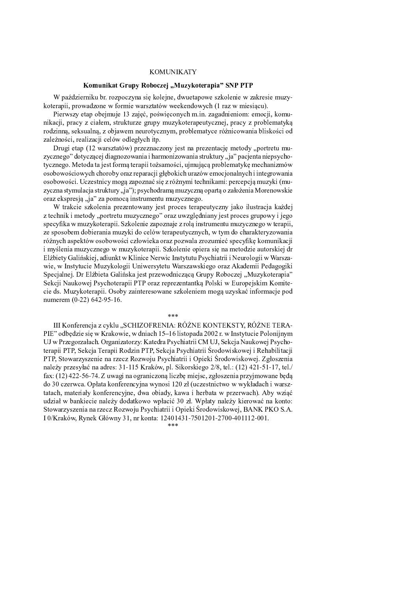## **KOMUNIKATY**

## Komunikat Grupy Roboczej "Muzykoterapia" SNP PTP

W październiku br. rozpoczyna się kolejne, dwuetapowe szkolenie w zakresie muzykoterapii, prowadzone w formie warsztatów weekendowych (1 raz w miesiacu).

Pierwszy etap obejmuje 13 zajeć, poświeconych m.jn. zagadnieniom: emocji, komunikacji, pracy z ciałem, strukturze grupy muzykoterapeutycznej, pracy z problematyką rodzinną, seksualną, z objawem neurotycznym, problematyce różnicowania bliskości od zależności, realizacji celów odległych itp.

Drugi etap (12 warsztatów) przeznaczony jest na prezentację metody "portretu muzycznego" dotyczącej diagnozowania i harmonizowania struktury "ja" pacjenta niepsychotycznego. Metoda ta jest formą terapii tożsamości, ujmującą problematykę mechanizmów osobowościowych choroby oraz reparacji głębokich urazów emocjonalnych i integrowania osobowości. Uczestnicy moga zapoznać się z różnymi technikami: percepcia muzyki (muzyczna stymulacja struktury "ja"); psychodramą muzyczną opartą o założenia Morenowskie oraz ekspresją "ja" za pomocą instrumentu muzycznego.

W trakcie szkolenia prezentowany jest proces terapeutyczny jako ilustracja każdej z technik i metody, portretu muzycznego" oraz uwzględniany jest proces grupowy i jego specyfika w muzykoterapii. Szkolenie zapoznaje z rolą instrumentu muzycznego w terapii, ze sposobem dobierania muzyki do celów terapeutycznych, w tym do charakteryzowania różnych aspektów osobowości człowieka oraz pozwala zrozumieć specyfike komunikacji i myślenia muzycznego w muzykoterapii. Szkolenie opiera się na metodzie autorskiej dr Elżbiety Galińskiej, adiunkt w Klinice Nerwic Instytutu Psychiatrii i Neurologii w Warszawie, w Instytucie Muzykologii Uniwersytetu Warszawskiego oraz Akademii Pedagogiki Specjalnej. Dr Elżbieta Galińska jest przewodniczącą Grupy Roboczej "Muzykoterapia" Sekcji Naukowej Psychoterapii PTP oraz reprezentantką Polski w Europejskim Komitecie ds. Muzykoterapii. Osoby zainteresowane szkoleniem mogą uzyskać informacje pod numerem (0-22) 642-95-16.

III Konferencja z cyklu "SCHIZOFRENIA: RÓŻNE KONTEKSTY, RÓŻNE TERA-

PIE" odbedzie się w Krakowie, w dniach 15–16 listopada 2002 r. w Instytucie Polonijnym UJ w Przegorzałach. Organizatorzy: Katedra Psychiatrii CM UJ, Sekcja Naukowej Psychoterapii PTP, Sekcja Terapii Rodzin PTP, Sekcja Psychiatrii Środowiskowej i Rehabilitacji PTP. Stowarzyszenie na rzecz Rozwoju Psychiatrii i Opieki Środowiskowej. Zgłoszenia należy przesyłać na adres: 31-115 Kraków, pl. Sikorskiego 2/8, tel.: (12) 421-51-17, tel./ fax: (12) 422-56-74. Z uwagi na ograniczoną liczbę miejsc, zgłoszenia przyjmowane będą do 30 czerwca. Opłata konferencyjna wynosi 120 zł (uczestnictwo w wykładach i warsztatach, materiały konferencyjne, dwa obiady, kawa i herbata w przerwach). Aby wziać udział w bankiecie należy dodatkowo wpłacić 30 zł. Wpłaty należy kierować na konto: Stowarzyszenia na rzecz Rozwoju Psychiatrii i Opieki Środowiskowej, BANK PKO S.A. I 0/Kraków, Rynek Główny 31, nr konta: 12401431-7501201-2700-401112-001. طوطوطو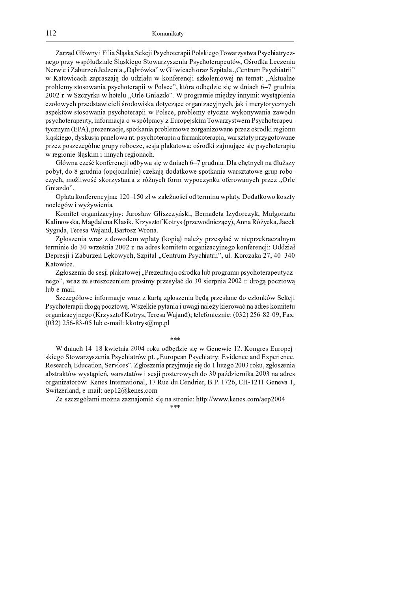Zarzad Główny i Filia Ślaska Sekcii Psychoterapii Polskiego Towarzystwa Psychiatrycznego przy współudziale Śląskiego Stowarzyszenia Psychoterapeutów, Ośrodka Leczenia Nerwic i Zaburzeń Jedzenia "Dąbrówka" w Gliwicach oraz Szpitala "Centrum Psychiatrii" w Katowicach zapraszają do udziału w konferencji szkoleniowej na temat: "Aktualne problemy stosowania psychoterapii w Polsce", która odbędzie się w dniach 6-7 grudnia <sup>a</sup> <sup>h</sup> <sup>q</sup> <sup>b</sup> <sup>s</sup> <sup>b</sup> <sup>j</sup> <sup>a</sup> <sup>p</sup> } <sup>h</sup> <sup>v</sup> <sup>w</sup> <sup>x</sup> <sup>r</sup> <sup>m</sup> } <sup>a</sup> <sup>m</sup> <sup>r</sup> <sup>e</sup> <sup>i</sup> <sup>k</sup> ` <sup>b</sup> <sup>d</sup> <sup>w</sup> <sup>y</sup> <sup>a</sup> <sup>w</sup> <sup>z</sup> <sup>a</sup> ` <sup>k</sup> <sup>r</sup> <sup>k</sup> <sup>d</sup> <sup>b</sup> <sup>j</sup> <sup>k</sup> <sup>i</sup> <sup>i</sup> <sup>j</sup> <sup>k</sup> <sup>h</sup> <sup>j</sup> <sup>o</sup> <sup>x</sup> <sup>c</sup> <sup>y</sup> <sup>k</sup> <sup>r</sup> <sup>i</sup> <sup>k</sup> ` czołowych przedstawicieli środowiska dotyczące organizacyjnych, jak i merytorycznych aspektów stosowania psychoterapii w Polsce, problemy etyczne wykonywania zawodu psychoterapeuty, informacja o współpracy z Europejskim Towarzystwem Psychoterapeutycznym (EPA), prezentacje, spotkania problemowe zorganizowane przez ośrodki regionu śląskiego, dyskusja panelowa nt. psychoterapia a farmakoterapia, warsztaty przygotowane przez poszczególne grupy robocze, sesja plakatowa: ośrodki zajmujące się psychoterapią w regionie śląskim i innych regionach.

Główna część konferencji odbywa się w dniach 6–7 grudnia. Dla chętnych na dłuższy pobyt, do 8 grudnia (opcjonalnie) czekają dodatkowe spotkania warsztatowe grup roboczych, możliwość skorzystania z różnych form wypoczynku oferowanych przez "Orle Gniazdo".

 <sup>y</sup> <sup>f</sup> ` <sup>x</sup> ` <sup>p</sup> <sup>w</sup> <sup>i</sup> <sup>r</sup> <sup>a</sup> <sup>r</sup> <sup>i</sup> <sup>s</sup> <sup>j</sup> <sup>t</sup> <sup>i</sup> ` <sup>b</sup> <sup>f</sup> <sup>h</sup> <sup>b</sup> ` <sup>m</sup> <sup>r</sup> <sup>i</sup> <sup>w</sup> <sup>s</sup> <sup>k</sup> <sup>w</sup> <sup>d</sup> <sup>x</sup> <sup>r</sup> <sup>a</sup> <sup>k</sup> <sup>i</sup> } <sup>h</sup> <sup>y</sup> <sup>f</sup> ` <sup>x</sup> <sup>j</sup> <sup>w</sup> <sup>d</sup> ` <sup>x</sup> <sup>p</sup> <sup>w</sup> <sup>h</sup> <sup>w</sup> <sup>p</sup> <sup>w</sup> <sup>o</sup> <sup>b</sup> <sup>x</sup> <sup>j</sup> noclegów i wyżywienia.

Komitet organizacyjny: Jarosław Gliszczyński, Bernadeta Izydorczyk, Małgorzata Kalinowska, Magdalena Klasik, Krzysztof Kotrys (przewodniczący), Anna Różycka, Jacek Syguda, Teresa Wajand, Bartosz Wrona.

Zgłoszenia wraz z dowodem wpłaty (kopią) należy przesyłać w nieprzekraczalnym <sup>x</sup> <sup>r</sup> <sup>a</sup> <sup>k</sup> <sup>i</sup> <sup>k</sup> <sup>r</sup> <sup>d</sup> <sup>w</sup> £ <sup>h</sup> <sup>a</sup> <sup>b</sup> <sup>r</sup> <sup>i</sup> <sup>k</sup> ` <sup>a</sup> <sup>i</sup> ` ` <sup>d</sup> <sup>a</sup> <sup>r</sup> <sup>o</sup> <sup>p</sup> <sup>w</sup> <sup>k</sup> <sup>x</sup> <sup>r</sup> <sup>x</sup> } <sup>w</sup> <sup>a</sup> <sup>z</sup> ` <sup>i</sup> <sup>k</sup> <sup>b</sup> ` <sup>s</sup> <sup>j</sup> <sup>t</sup> <sup>i</sup> <sup>r</sup> <sup>z</sup> <sup>w</sup> <sup>p</sup> <sup>w</sup> <sup>i</sup> <sup>r</sup> <sup>a</sup> <sup>r</sup> <sup>i</sup> <sup>s</sup> <sup>t</sup> <sup>k</sup> <sup>d</sup> <sup>d</sup> <sup>b</sup> <sup>k</sup> ` <sup>f</sup> Depresji i Zaburzeń Lękowych, Szpital "Centrum Psychiatrii", ul. Korczaka 27, 40–340 Katowice.

Zgłoszenia do sesji plakatowej "Prezentacja ośrodka lub programu psychoterapeutyczi r o b r o b r i k r i k r o d w a w a k i k r o j f i k r o j k r o j k y i k w k y i k y k y w j k y k y w h lub e-mail.

Szczegółowe informacje wraz z kartą zgłoszenia będą przesłane do członków Sekcji Psychoterapii drogą pocztową. Wszelkie pytania i uwagi należy kierować na adres komitetu <sup>w</sup> <sup>a</sup> <sup>z</sup> ` <sup>i</sup> <sup>k</sup> <sup>b</sup> ` <sup>s</sup> <sup>j</sup> <sup>t</sup> <sup>i</sup> <sup>r</sup> <sup>z</sup> <sup>w</sup> <sup>a</sup> <sup>b</sup> <sup>j</sup> <sup>o</sup> <sup>b</sup> <sup>x</sup> <sup>w</sup> <sup>w</sup> <sup>x</sup> <sup>a</sup> <sup>j</sup> <sup>o</sup> <sup>~</sup> { <sup>r</sup> <sup>a</sup> <sup>r</sup> <sup>o</sup> ` ` <sup>t</sup> ` <sup>i</sup> <sup>d</sup> ¥ <sup>x</sup> <sup>r</sup> <sup>m</sup> <sup>r</sup> <sup>w</sup> <sup>i</sup> <sup>k</sup> <sup>s</sup> <sup>b</sup> <sup>i</sup> <sup>k</sup> <sup>r</sup> £ <sup>|</sup> <sup>|</sup> ¦ <sup>~</sup> <sup>l</sup> ` §  $(032)$  256-83-05 lub e-mail: kkotrys@mp.pl

© © ©

 <sup>d</sup> <sup>i</sup> <sup>k</sup> ` <sup>s</sup> <sup>v</sup> ¤ <sup>p</sup> <sup>h</sup> <sup>k</sup> <sup>r</sup> <sup>x</sup> <sup>i</sup> <sup>k</sup> ` ¤ <sup>a</sup> <sup>w</sup> <sup>p</sup> } <sup>w</sup> <sup>d</sup> <sup>d</sup> <sup>b</sup> <sup>k</sup> <sup>r</sup> <sup>o</sup> <sup>k</sup> <sup>h</sup> <sup>e</sup> <sup>r</sup> <sup>i</sup> <sup>r</sup> <sup>h</sup> <sup>k</sup> <sup>r</sup> <sup>w</sup> <sup>i</sup> <sup>z</sup> <sup>a</sup> <sup>r</sup> <sup>o</sup> } <sup>a</sup> <sup>w</sup> <sup>y</sup> <sup>r</sup> <sup>t</sup> <sup>|</sup> skiego Stowarzyszenia Psychiatrów pt. "European Psychiatry: Evidence and Experience. ¢ <sup>r</sup> <sup>o</sup> <sup>r</sup> ` <sup>a</sup> <sup>s</sup> <sup>v</sup> <sup>~</sup> <sup>d</sup> } <sup>s</sup> ` <sup>x</sup> <sup>k</sup> <sup>w</sup> <sup>i</sup> <sup>~</sup> <sup>q</sup> <sup>r</sup> <sup>a</sup> <sup>ª</sup> <sup>k</sup> <sup>s</sup> <sup>r</sup> <sup>o</sup> \_ <sup>z</sup> <sup>f</sup> <sup>w</sup> <sup>o</sup> <sup>b</sup> <sup>r</sup> <sup>i</sup> <sup>k</sup> ` <sup>y</sup> <sup>a</sup> <sup>b</sup> <sup>j</sup> <sup>t</sup> } <sup>t</sup> <sup>r</sup> <sup>o</sup> <sup>k</sup> <sup>d</sup> <sup>w</sup> <sup>m</sup> } <sup>x</sup> <sup>r</sup> <sup>z</sup> <sup>w</sup> £ <sup>a</sup> <sup>w</sup> <sup>p</sup> } <sup>~</sup> <sup>b</sup> <sup>z</sup> <sup>f</sup> <sup>w</sup> <sup>o</sup> <sup>b</sup> <sup>r</sup> <sup>i</sup> <sup>k</sup> ` ` <sup>o</sup> <sup>x</sup> <sup>a</sup> ` <sup>p</sup> <sup>x</sup> <sup>g</sup> <sup>h</sup> <sup>h</sup> <sup>j</sup> <sup>o</sup> <sup>x</sup> <sup>c</sup> <sup>y</sup> <sup>k</sup> <sup>r</sup> <sup>~</sup> <sup>h</sup> ` <sup>a</sup> <sup>o</sup> <sup>b</sup> <sup>x</sup> ` <sup>x</sup> <sup>g</sup> <sup>h</sup> <sup>k</sup> <sup>o</sup> <sup>r</sup> <sup>o</sup> <sup>t</sup> <sup>k</sup> <sup>y</sup> <sup>w</sup> <sup>o</sup> <sup>x</sup> <sup>r</sup> <sup>a</sup> <sup>w</sup> <sup>h</sup> <sup>j</sup> <sup>s</sup> <sup>v</sup> <sup>d</sup> <sup>w</sup> £ <sup>y</sup> ` « <sup>d</sup> <sup>b</sup> <sup>k</sup> <sup>r</sup> <sup>a</sup> <sup>i</sup> <sup>k</sup> <sup>p</sup> ` £ <sup>i</sup> ` ` <sup>d</sup> <sup>a</sup> <sup>r</sup> <sup>o</sup> w a g h i k m a i m a k r a k r a k r a k r a c a k r d a k r d a k r a k r a k r a k r a k r a k r a k r a k <sup>q</sup> <sup>h</sup> <sup>k</sup> <sup>x</sup> <sup>b</sup> <sup>r</sup> <sup>a</sup> <sup>m</sup> ` <sup>i</sup> <sup>d</sup> <sup>~</sup> <sup>r</sup> <sup>|</sup> ` <sup>k</sup> <sup>m</sup> ` <sup>r</sup> <sup>y</sup> ¨ <sup>p</sup> <sup>r</sup> <sup>i</sup> <sup>r</sup> <sup>o</sup> <sup>s</sup> <sup>w</sup>

\_ <sup>r</sup> <sup>o</sup> <sup>b</sup> <sup>s</sup> <sup>b</sup> <sup>r</sup> <sup>z</sup> <sup>g</sup> <sup>f</sup> ` <sup>k</sup> <sup>w</sup> <sup>i</sup> ` <sup>b</sup> ` <sup>b</sup> <sup>i</sup> ` <sup>t</sup> <sup>w</sup> <sup>k</sup> <sup>o</sup> <sup>k</sup> <sup>i</sup> ` <sup>o</sup> <sup>x</sup> <sup>a</sup> <sup>w</sup> <sup>i</sup> <sup>k</sup> <sup>r</sup> <sup>v</sup> <sup>x</sup> <sup>x</sup> <sup>y</sup> <sup>h</sup> <sup>h</sup> <sup>h</sup> <sup>p</sup> <sup>r</sup> <sup>i</sup> <sup>r</sup> <sup>o</sup> <sup>s</sup> <sup>w</sup> ` <sup>r</sup> <sup>y</sup> ¤ © © ©